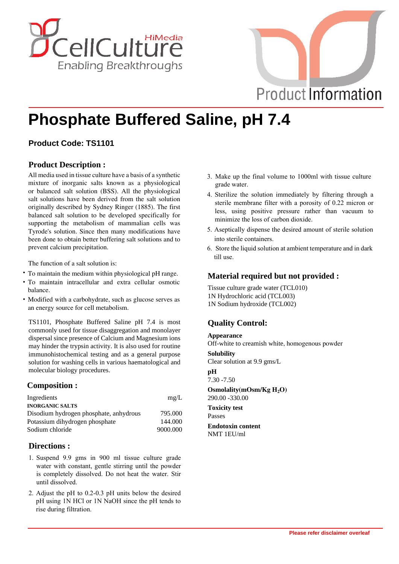



# **Phosphate Buffered Saline, pH 7.4**

## **Product Code: TS1101**

## **Product Description :**

All media used in tissue culture have a basis of a synthetic mixture of inorganic salts known as a physiological or balanced salt solution (BSS). All the physiological salt solutions have been derived from the salt solution originally described by Sydney Ringer (1885). The first balanced salt solution to be developed specifically for supporting the metabolism of mammalian cells was Tyrode's solution. Since then many modifications have been done to obtain better buffering salt solutions and to prevent calcium precipitation.

The function of a salt solution is:

- **·** To maintain the medium within physiological pH range.
- **·** To maintain intracellular and extra cellular osmotic balance.
- **·** Modified with a carbohydrate, such as glucose serves as an energy source for cell metabolism.

TS1101, Phosphate Buffered Saline pH 7.4 is most commonly used for tissue disaggregation and monolayer dispersal since presence of Calcium and Magnesium ions may hinder the trypsin activity. It is also used for routine immunohistochemical testing and as a general purpose solution for washing cells in various haematological and molecular biology procedures.

## **Composition :**

| Ingredients                            | mg/L     |
|----------------------------------------|----------|
| <b>INORGANIC SALTS</b>                 |          |
| Disodium hydrogen phosphate, anhydrous | 795.000  |
| Potassium dihydrogen phosphate         | 144,000  |
| Sodium chloride                        | 9000.000 |

## **Directions :**

- 1. Suspend 9.9 gms in 900 ml tissue culture grade water with constant, gentle stirring until the powder is completely dissolved. Do not heat the water. Stir until dissolved.
- 2. Adjust the pH to 0.2-0.3 pH units below the desired pH using 1N HCl or 1N NaOH since the pH tends to rise during filtration.
- 3. Make up the final volume to 1000ml with tissue culture grade water.
- 4. Sterilize the solution immediately by filtering through a sterile membrane filter with a porosity of 0.22 micron or less, using positive pressure rather than vacuum to minimize the loss of carbon dioxide.
- 5. Aseptically dispense the desired amount of sterile solution into sterile containers.
- 6. Store the liquid solution at ambient temperature and in dark till use.

## **Material required but not provided :**

Tissue culture grade water (TCL010) 1N Hydrochloric acid (TCL003) 1N Sodium hydroxide (TCL002)

## **Quality Control:**

#### **Appearance**

Off-white to creamish white, homogenous powder

## **Solubility**

Clear solution at 9.9 gms/L

### **pH**

7.30 -7.50

**Osmolality(mOsm/Kg H2O)**  290.00 -330.00

**Toxicity test** Passes

#### **Endotoxin content** NMT 1EU/ml